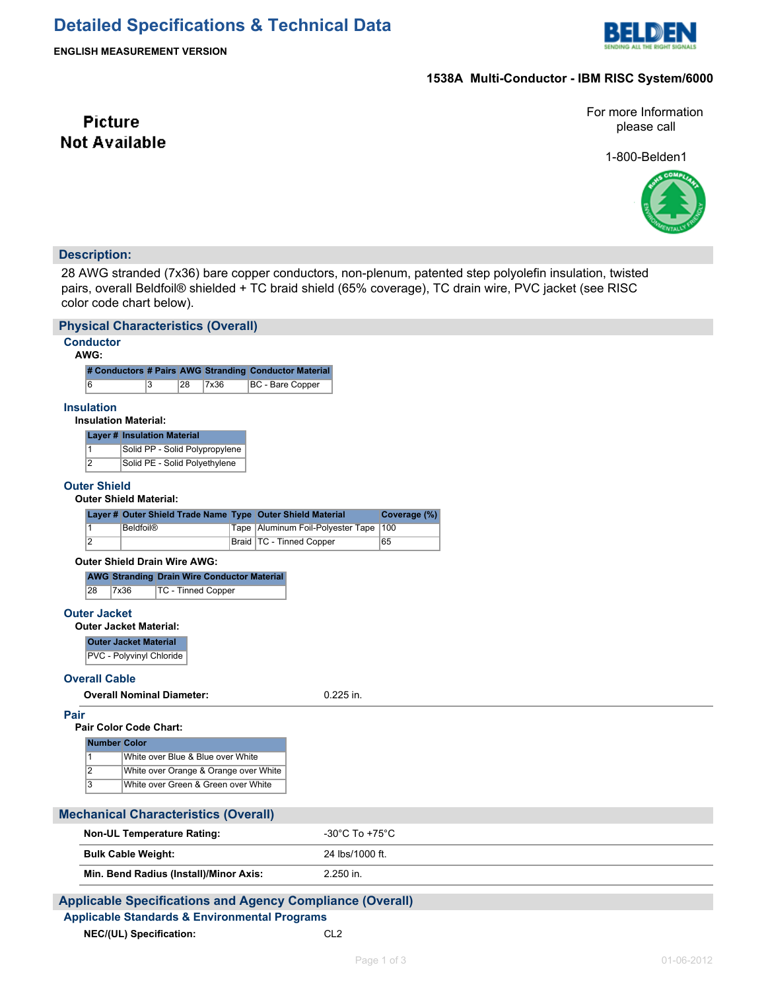

**ENGLISH MEASUREMENT VERSION**

# **1538A Multi-Conductor - IBM RISC System/6000**

For more Information please call

1-800-Belden1



# **Description:**

**Picture Not Available** 

28 AWG stranded (7x36) bare copper conductors, non-plenum, patented step polyolefin insulation, twisted pairs, overall Beldfoil® shielded + TC braid shield (65% coverage), TC drain wire, PVC jacket (see RISC color code chart below).

| <b>Physical Characteristics (Overall)</b>                                                     |                                                                         |              |  |
|-----------------------------------------------------------------------------------------------|-------------------------------------------------------------------------|--------------|--|
| <b>Conductor</b><br>AWG:                                                                      |                                                                         |              |  |
| # Conductors # Pairs AWG Stranding Conductor Material                                         |                                                                         |              |  |
| 6<br>3<br>28<br>7x36                                                                          | BC - Bare Copper                                                        |              |  |
| <b>Insulation</b><br><b>Insulation Material:</b>                                              |                                                                         |              |  |
| <b>Layer # Insulation Material</b>                                                            |                                                                         |              |  |
| $\mathbf{1}$<br>Solid PP - Solid Polypropylene                                                |                                                                         |              |  |
| $\overline{2}$<br>Solid PE - Solid Polyethylene                                               |                                                                         |              |  |
| <b>Outer Shield</b><br><b>Outer Shield Material:</b>                                          |                                                                         |              |  |
| Layer # Outer Shield Trade Name Type Outer Shield Material                                    |                                                                         | Coverage (%) |  |
| $\mathbf{1}$<br><b>Beldfoil®</b><br>$\overline{2}$                                            | Tape   Aluminum Foil-Polyester Tape   100<br>Braid   TC - Tinned Copper | 65           |  |
|                                                                                               |                                                                         |              |  |
| <b>Outer Shield Drain Wire AWG:</b>                                                           |                                                                         |              |  |
| <b>AWG Stranding Drain Wire Conductor Material</b><br>28<br>7x36<br><b>TC - Tinned Copper</b> |                                                                         |              |  |
|                                                                                               |                                                                         |              |  |
| <b>Outer Jacket</b><br><b>Outer Jacket Material:</b>                                          |                                                                         |              |  |
| <b>Outer Jacket Material</b>                                                                  |                                                                         |              |  |
| PVC - Polyvinyl Chloride                                                                      |                                                                         |              |  |
| <b>Overall Cable</b>                                                                          |                                                                         |              |  |
| <b>Overall Nominal Diameter:</b>                                                              | $0.225$ in.                                                             |              |  |
|                                                                                               |                                                                         |              |  |
| Pair<br><b>Pair Color Code Chart:</b>                                                         |                                                                         |              |  |
| <b>Number Color</b>                                                                           |                                                                         |              |  |
| White over Blue & Blue over White<br>$\mathbf{1}$                                             |                                                                         |              |  |
| $\overline{2}$<br>White over Orange & Orange over White                                       |                                                                         |              |  |
| $\overline{3}$<br>White over Green & Green over White                                         |                                                                         |              |  |
|                                                                                               |                                                                         |              |  |
| <b>Mechanical Characteristics (Overall)</b>                                                   |                                                                         |              |  |
| <b>Non-UL Temperature Rating:</b>                                                             | -30°C To +75°C                                                          |              |  |
| <b>Bulk Cable Weight:</b>                                                                     | 24 lbs/1000 ft.                                                         |              |  |
| Min. Bend Radius (Install)/Minor Axis:                                                        | 2.250 in.                                                               |              |  |
| <b>Applicable Specifications and Agency Compliance (Overall)</b>                              |                                                                         |              |  |
| <b>Applicable Standards &amp; Environmental Programs</b>                                      |                                                                         |              |  |
| NEC/(UL) Specification:                                                                       | CL <sub>2</sub>                                                         |              |  |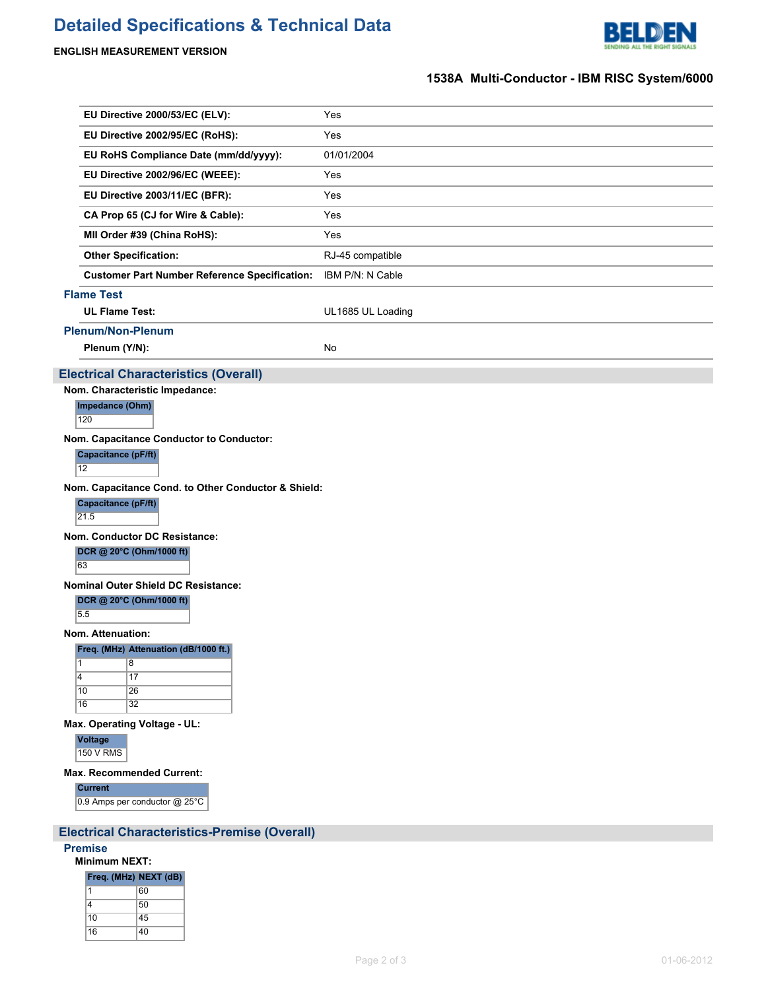# **Detailed Specifications & Technical Data**



## **ENGLISH MEASUREMENT VERSION**

# **1538A Multi-Conductor - IBM RISC System/6000**

| EU Directive 2000/53/EC (ELV):                       | Yes               |
|------------------------------------------------------|-------------------|
| EU Directive 2002/95/EC (RoHS):                      | Yes               |
| EU RoHS Compliance Date (mm/dd/yyyy):                | 01/01/2004        |
| EU Directive 2002/96/EC (WEEE):                      | Yes               |
| EU Directive 2003/11/EC (BFR):                       | Yes               |
| CA Prop 65 (CJ for Wire & Cable):                    | Yes               |
| MII Order #39 (China RoHS):                          | Yes               |
| <b>Other Specification:</b>                          | RJ-45 compatible  |
| <b>Customer Part Number Reference Specification:</b> | IBM P/N: N Cable  |
| <b>Flame Test</b>                                    |                   |
| <b>UL Flame Test:</b>                                | UL1685 UL Loading |
| <b>Plenum/Non-Plenum</b>                             |                   |
| Plenum (Y/N):                                        | <b>No</b>         |
| <b>Electrical Characteristics (Overall)</b>          |                   |
| Nom. Characteristic Impedance:                       |                   |
| Impedance (Ohm)<br>120                               |                   |
| Nom. Capacitance Conductor to Conductor:             |                   |
| Consideration of the PIERS                           |                   |

**Itance (pr/π)** 12

**Nom. Capacitance Cond. to Other Conductor & Shield:**

**Capacitance (pF/ft)**

 $\overline{21.5}$ 

**Nom. Conductor DC Resistance:**

**DCR @ 20°C (Ohm/1000 ft)**

63

**Nominal Outer Shield DC Resistance:**

**DCR @ 20°C (Ohm/1000 ft)**

5.5

**Nom. Attenuation:**

**Freq. (MHz) Attenuation (dB/1000 ft.)**

|              | 8               |
|--------------|-----------------|
| 4            | 17              |
| $ 10\rangle$ | 26              |
| $\sqrt{16}$  | $\overline{32}$ |

**Max. Operating Voltage - UL:**

**Voltage**

150 V RMS

#### **Max. Recommended Current:**

**Current** 0.9 Amps per conductor @ 25°C

# **Electrical Characteristics-Premise (Overall)**

#### **Premise**

**Minimum NEXT:**

| Freq. (MHz) NEXT (dB) |    |
|-----------------------|----|
| 1                     | 60 |
| 4                     | 50 |
| 10                    | 45 |
| 16                    | 40 |